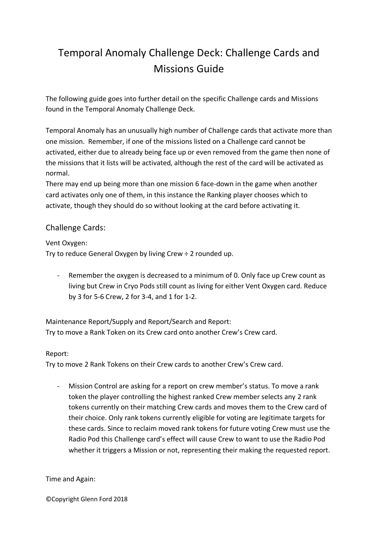# Temporal Anomaly Challenge Deck: Challenge Cards and Missions Guide

The following guide goes into further detail on the specific Challenge cards and Missions found in the Temporal Anomaly Challenge Deck.

Temporal Anomaly has an unusually high number of Challenge cards that activate more than one mission. Remember, if one of the missions listed on a Challenge card cannot be activated, either due to already being face up or even removed from the game then none of the missions that it lists will be activated, although the rest of the card will be activated as normal.

There may end up being more than one mission 6 face-down in the game when another card activates only one of them, in this instance the Ranking player chooses which to activate, though they should do so without looking at the card before activating it.

## Challenge Cards:

Vent Oxygen:

Try to reduce General Oxygen by living Crew ÷ 2 rounded up.

- Remember the oxygen is decreased to a minimum of 0. Only face up Crew count as living but Crew in Cryo Pods still count as living for either Vent Oxygen card. Reduce by 3 for 5-6 Crew, 2 for 3-4, and 1 for 1-2.

Maintenance Report/Supply and Report/Search and Report: Try to move a Rank Token on its Crew card onto another Crew's Crew card.

### Report:

Try to move 2 Rank Tokens on their Crew cards to another Crew's Crew card.

- Mission Control are asking for a report on crew member's status. To move a rank token the player controlling the highest ranked Crew member selects any 2 rank tokens currently on their matching Crew cards and moves them to the Crew card of their choice. Only rank tokens currently eligible for voting are legitimate targets for these cards. Since to reclaim moved rank tokens for future voting Crew must use the Radio Pod this Challenge card's effect will cause Crew to want to use the Radio Pod whether it triggers a Mission or not, representing their making the requested report.

#### Time and Again: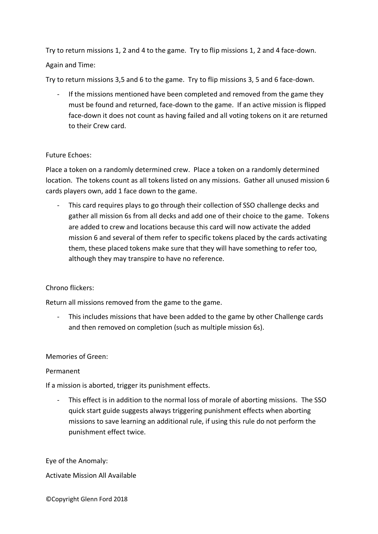Try to return missions 1, 2 and 4 to the game. Try to flip missions 1, 2 and 4 face-down. Again and Time:

Try to return missions 3,5 and 6 to the game. Try to flip missions 3, 5 and 6 face-down.

If the missions mentioned have been completed and removed from the game they must be found and returned, face-down to the game. If an active mission is flipped face-down it does not count as having failed and all voting tokens on it are returned to their Crew card.

### Future Echoes:

Place a token on a randomly determined crew. Place a token on a randomly determined location. The tokens count as all tokens listed on any missions. Gather all unused mission 6 cards players own, add 1 face down to the game.

This card requires plays to go through their collection of SSO challenge decks and gather all mission 6s from all decks and add one of their choice to the game. Tokens are added to crew and locations because this card will now activate the added mission 6 and several of them refer to specific tokens placed by the cards activating them, these placed tokens make sure that they will have something to refer too, although they may transpire to have no reference.

### Chrono flickers:

Return all missions removed from the game to the game.

- This includes missions that have been added to the game by other Challenge cards and then removed on completion (such as multiple mission 6s).

### Memories of Green:

### Permanent

If a mission is aborted, trigger its punishment effects.

- This effect is in addition to the normal loss of morale of aborting missions. The SSO quick start guide suggests always triggering punishment effects when aborting missions to save learning an additional rule, if using this rule do not perform the punishment effect twice.

Eye of the Anomaly:

Activate Mission All Available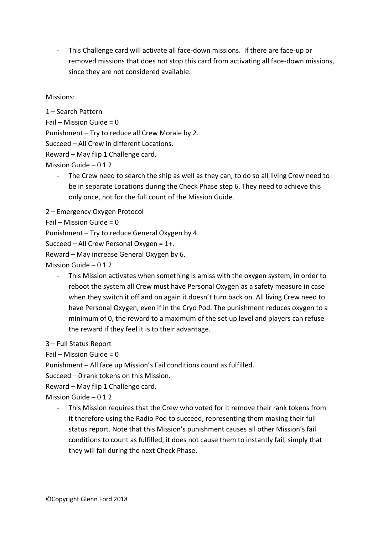- This Challenge card will activate all face-down missions. If there are face-up or removed missions that does not stop this card from activating all face-down missions, since they are not considered available.

Missions:

1 – Search Pattern Fail – Mission Guide =  $0$ Punishment – Try to reduce all Crew Morale by 2. Succeed – All Crew in different Locations. Reward – May flip 1 Challenge card. Mission Guide – 0 1 2

- The Crew need to search the ship as well as they can, to do so all living Crew need to be in separate Locations during the Check Phase step 6. They need to achieve this only once, not for the full count of the Mission Guide.
- 2 Emergency Oxygen Protocol

Fail – Mission Guide =  $0$ 

Punishment – Try to reduce General Oxygen by 4.

Succeed – All Crew Personal Oxygen = 1+.

Reward – May increase General Oxygen by 6.

Mission Guide  $-012$ 

- This Mission activates when something is amiss with the oxygen system, in order to reboot the system all Crew must have Personal Oxygen as a safety measure in case when they switch it off and on again it doesn't turn back on. All living Crew need to have Personal Oxygen, even if in the Cryo Pod. The punishment reduces oxygen to a minimum of 0, the reward to a maximum of the set up level and players can refuse the reward if they feel it is to their advantage.

3 – Full Status Report

Fail – Mission Guide =  $0$ 

Punishment – All face up Mission's Fail conditions count as fulfilled.

Succeed – 0 rank tokens on this Mission.

Reward – May flip 1 Challenge card.

Mission Guide – 0 1 2

This Mission requires that the Crew who voted for it remove their rank tokens from it therefore using the Radio Pod to succeed, representing them making their full status report. Note that this Mission's punishment causes all other Mission's fail conditions to count as fulfilled, it does not cause them to instantly fail, simply that they will fail during the next Check Phase.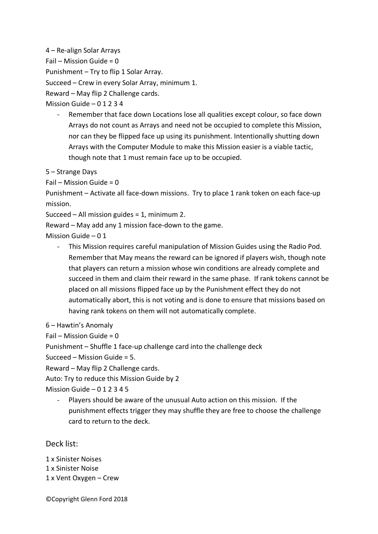4 – Re-align Solar Arrays

Fail – Mission Guide =  $0$ 

Punishment – Try to flip 1 Solar Array.

Succeed – Crew in every Solar Array, minimum 1.

Reward – May flip 2 Challenge cards.

Mission Guide – 0 1 2 3 4

Remember that face down Locations lose all qualities except colour, so face down Arrays do not count as Arrays and need not be occupied to complete this Mission, nor can they be flipped face up using its punishment. Intentionally shutting down Arrays with the Computer Module to make this Mission easier is a viable tactic, though note that 1 must remain face up to be occupied.

5 – Strange Days

Fail – Mission Guide =  $0$ 

Punishment – Activate all face-down missions. Try to place 1 rank token on each face-up mission.

Succeed – All mission guides = 1, minimum 2.

Reward – May add any 1 mission face-down to the game.

Mission Guide – 0 1

- This Mission requires careful manipulation of Mission Guides using the Radio Pod. Remember that May means the reward can be ignored if players wish, though note that players can return a mission whose win conditions are already complete and succeed in them and claim their reward in the same phase. If rank tokens cannot be placed on all missions flipped face up by the Punishment effect they do not automatically abort, this is not voting and is done to ensure that missions based on having rank tokens on them will not automatically complete.

6 – Hawtin's Anomaly

Fail – Mission Guide = 0

Punishment – Shuffle 1 face-up challenge card into the challenge deck

Succeed – Mission Guide = 5.

Reward – May flip 2 Challenge cards.

Auto: Try to reduce this Mission Guide by 2

Mission Guide  $-012345$ 

- Players should be aware of the unusual Auto action on this mission. If the punishment effects trigger they may shuffle they are free to choose the challenge card to return to the deck.

Deck list:

1 x Sinister Noises 1 x Sinister Noise 1 x Vent Oxygen – Crew

©Copyright Glenn Ford 2018